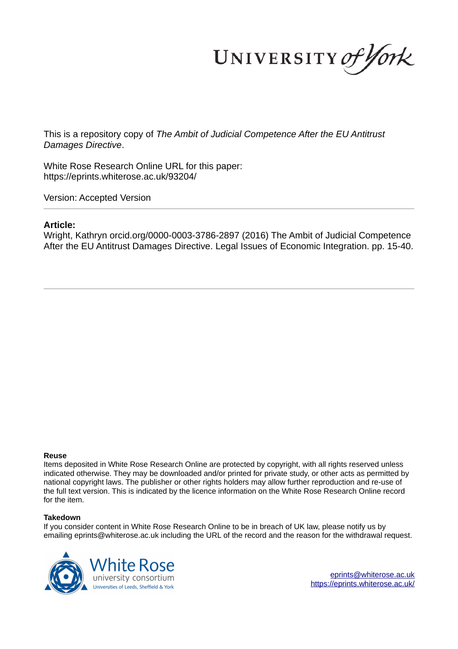UNIVERSITY of York

This is a repository copy of *The Ambit of Judicial Competence After the EU Antitrust Damages Directive*.

White Rose Research Online URL for this paper: https://eprints.whiterose.ac.uk/93204/

Version: Accepted Version

### **Article:**

Wright, Kathryn orcid.org/0000-0003-3786-2897 (2016) The Ambit of Judicial Competence After the EU Antitrust Damages Directive. Legal Issues of Economic Integration. pp. 15-40.

#### **Reuse**

Items deposited in White Rose Research Online are protected by copyright, with all rights reserved unless indicated otherwise. They may be downloaded and/or printed for private study, or other acts as permitted by national copyright laws. The publisher or other rights holders may allow further reproduction and re-use of the full text version. This is indicated by the licence information on the White Rose Research Online record for the item.

#### **Takedown**

If you consider content in White Rose Research Online to be in breach of UK law, please notify us by emailing eprints@whiterose.ac.uk including the URL of the record and the reason for the withdrawal request.



eprints@whiterose.ac.uk https://eprints.whiterose.ac.uk/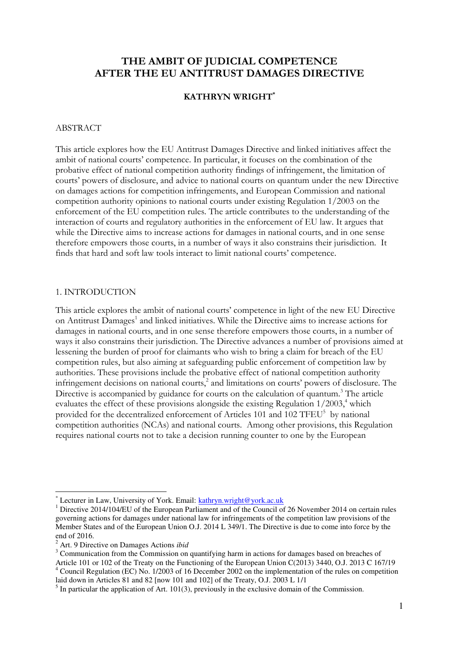# **THE AMBIT OF JUDICIAL COMPETENCE AFTER THE EU ANTITRUST DAMAGES DIRECTIVE**

## **KATHRYN WRIGHT\***

#### ABSTRACT

This article explores how the EU Antitrust Damages Directive and linked initiatives affect the ambit of national courts' competence. In particular, it focuses on the combination of the probative effect of national competition authority findings of infringement, the limitation of courts' powers of disclosure, and advice to national courts on quantum under the new Directive on damages actions for competition infringements, and European Commission and national competition authority opinions to national courts under existing Regulation 1/2003 on the enforcement of the EU competition rules. The article contributes to the understanding of the interaction of courts and regulatory authorities in the enforcement of EU law. It argues that while the Directive aims to increase actions for damages in national courts, and in one sense therefore empowers those courts, in a number of ways it also constrains their jurisdiction. It finds that hard and soft law tools interact to limit national courts' competence.

### 1. INTRODUCTION

This article explores the ambit of national courts' competence in light of the new EU Directive on Antitrust Damages<sup>1</sup> and linked initiatives. While the Directive aims to increase actions for damages in national courts, and in one sense therefore empowers those courts, in a number of ways it also constrains their jurisdiction. The Directive advances a number of provisions aimed at lessening the burden of proof for claimants who wish to bring a claim for breach of the EU competition rules, but also aiming at safeguarding public enforcement of competition law by authorities. These provisions include the probative effect of national competition authority infringement decisions on national courts,<sup>2</sup> and limitations on courts' powers of disclosure. The Directive is accompanied by guidance for courts on the calculation of quantum.<sup>3</sup> The article evaluates the effect of these provisions alongside the existing Regulation  $1/2003$ ,<sup>4</sup> which provided for the decentralized enforcement of Articles 101 and 102 TFEU<sup>5</sup> by national competition authorities (NCAs) and national courts. Among other provisions, this Regulation requires national courts not to take a decision running counter to one by the European

 $\overline{a}$ 

<sup>3</sup> Communication from the Commission on quantifying harm in actions for damages based on breaches of Article 101 or 102 of the Treaty on the Functioning of the European Union C(2013) 3440, O.J. 2013 C 167/19 4 Council Regulation (EC) No. 1/2003 of 16 December 2002 on the implementation of the rules on competition laid down in Articles 81 and 82 [now 101 and 102] of the Treaty, O.J. 2003 L 1/1

<sup>\*</sup> Lecturer in Law, University of York. Email: kathryn.wright@york.ac.uk

<sup>&</sup>lt;sup>1</sup> Directive 2014/104/EU of the European Parliament and of the Council of 26 November 2014 on certain rules governing actions for damages under national law for infringements of the competition law provisions of the Member States and of the European Union O.J. 2014 L 349/1. The Directive is due to come into force by the end of 2016.

<sup>2</sup> Art. 9 Directive on Damages Actions *ibid* 

 $<sup>5</sup>$  In particular the application of Art. 101(3), previously in the exclusive domain of the Commission.</sup>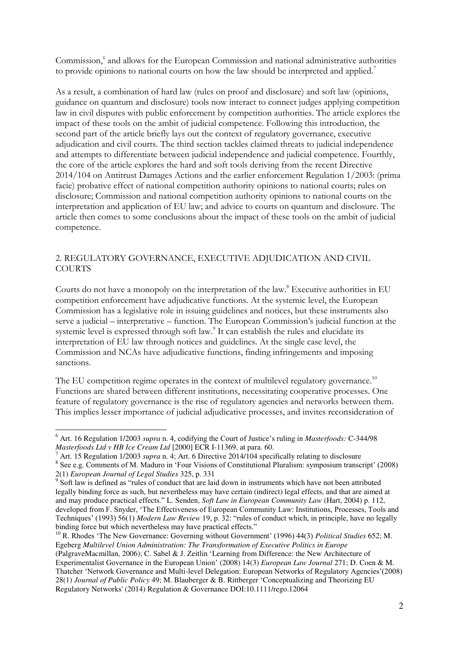Commission,<sup>6</sup> and allows for the European Commission and national administrative authorities to provide opinions to national courts on how the law should be interpreted and applied.<sup>7</sup>

As a result, a combination of hard law (rules on proof and disclosure) and soft law (opinions, guidance on quantum and disclosure) tools now interact to connect judges applying competition law in civil disputes with public enforcement by competition authorities. The article explores the impact of these tools on the ambit of judicial competence. Following this introduction, the second part of the article briefly lays out the context of regulatory governance, executive adjudication and civil courts. The third section tackles claimed threats to judicial independence and attempts to differentiate between judicial independence and judicial competence. Fourthly, the core of the article explores the hard and soft tools deriving from the recent Directive 2014/104 on Antitrust Damages Actions and the earlier enforcement Regulation 1/2003: (prima facie) probative effect of national competition authority opinions to national courts; rules on disclosure; Commission and national competition authority opinions to national courts on the interpretation and application of EU law; and advice to courts on quantum and disclosure. The article then comes to some conclusions about the impact of these tools on the ambit of judicial competence.

# 2. REGULATORY GOVERNANCE, EXECUTIVE ADJUDICATION AND CIVIL **COURTS**

Courts do not have a monopoly on the interpretation of the law.<sup>8</sup> Executive authorities in EU competition enforcement have adjudicative functions. At the systemic level, the European Commission has a legislative role in issuing guidelines and notices, but these instruments also serve a judicial – interpretative – function. The European Commission's judicial function at the systemic level is expressed through soft law.<sup>9</sup> It can establish the rules and elucidate its interpretation of EU law through notices and guidelines. At the single case level, the Commission and NCAs have adjudicative functions, finding infringements and imposing sanctions.

The EU competition regime operates in the context of multilevel regulatory governance.<sup>10</sup> Functions are shared between different institutions, necessitating cooperative processes. One feature of regulatory governance is the rise of regulatory agencies and networks between them. This implies lesser importance of judicial adjudicative processes, and invites reconsideration of

7 Art. 15 Regulation 1/2003 *supra* n. 4; Art. 6 Directive 2014/104 specifically relating to disclosure

<sup>6</sup> Art. 16 Regulation 1/2003 *supra* n. 4, codifying the Court of Justice's ruling in *Masterfoods:* C-344/98 *Masterfoods Ltd v HB Ice Cream Ltd* [2000] ECR I-11369, at para. 60.

<sup>8</sup> See e.g. Comments of M. Maduro in 'Four Visions of Constitutional Pluralism: symposium transcript' (2008) 2(1) *European Journal of Legal Studies* 325, p. 331

<sup>&</sup>lt;sup>9</sup> Soft law is defined as "rules of conduct that are laid down in instruments which have not been attributed legally binding force as such, but nevertheless may have certain (indirect) legal effects, and that are aimed at and may produce practical effects." L. Senden, *Soft Law in European Community Law* (Hart, 2004) p. 112, developed from F. Snyder, 'The Effectiveness of European Community Law: Institutions, Processes, Tools and Techniques' (1993) 56(1) *Modern Law Review* 19, p. 32: "rules of conduct which, in principle, have no legally binding force but which nevertheless may have practical effects."

<sup>10</sup> R. Rhodes 'The New Governance: Governing without Government' (1996) 44(3) *Political Studies* 652; M. Egeberg *Multilevel Union Administration: The Transformation of Executive Politics in Europe* (PalgraveMacmillan, 2006); C. Sabel & J. Zeitlin 'Learning from Difference: the New Architecture of Experimentalist Governance in the European Union' (2008) 14(3) *European Law Journal* 271; D. Coen & M. Thatcher 'Network Governance and Multi-level Delegation: European Networks of Regulatory Agencies'(2008) 28(1) *Journal of Public Policy* 49; M. Blauberger & B. Rittberger 'Conceptualizing and Theorizing EU Regulatory Networks' (2014) Regulation & Governance DOI:10.1111/rego.12064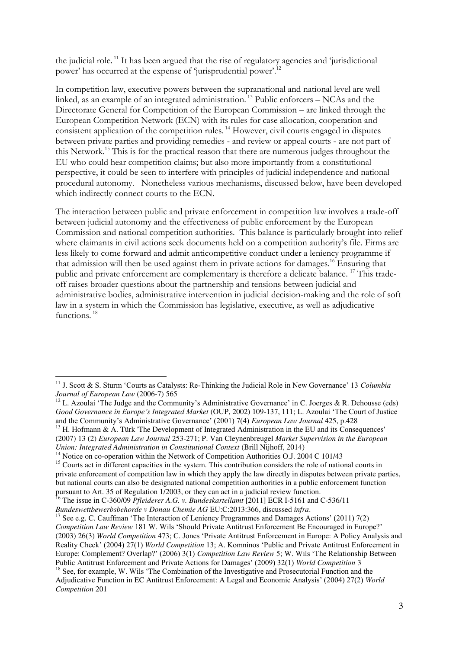the judicial role. <sup>11</sup> It has been argued that the rise of regulatory agencies and 'jurisdictional power' has occurred at the expense of 'jurisprudential power'.<sup>12</sup>

In competition law, executive powers between the supranational and national level are well linked, as an example of an integrated administration.  $\frac{1}{13}$  Public enforcers – NCAs and the Directorate General for Competition of the European Commission – are linked through the European Competition Network (ECN) with its rules for case allocation, cooperation and consistent application of the competition rules.<sup>14</sup> However, civil courts engaged in disputes between private parties and providing remedies - and review or appeal courts - are not part of this Network.<sup>15</sup> This is for the practical reason that there are numerous judges throughout the EU who could hear competition claims; but also more importantly from a constitutional perspective, it could be seen to interfere with principles of judicial independence and national procedural autonomy. Nonetheless various mechanisms, discussed below, have been developed which indirectly connect courts to the ECN.

The interaction between public and private enforcement in competition law involves a trade-off between judicial autonomy and the effectiveness of public enforcement by the European Commission and national competition authorities. This balance is particularly brought into relief where claimants in civil actions seek documents held on a competition authority's file. Firms are less likely to come forward and admit anticompetitive conduct under a leniency programme if that admission will then be used against them in private actions for damages.<sup>16</sup> Ensuring that public and private enforcement are complementary is therefore a delicate balance.<sup>17</sup> This tradeoff raises broader questions about the partnership and tensions between judicial and administrative bodies, administrative intervention in judicial decision-making and the role of soft law in a system in which the Commission has legislative, executive, as well as adjudicative functions.<sup>18</sup>

<sup>11</sup> J. Scott & S. Sturm 'Courts as Catalysts: Re-Thinking the Judicial Role in New Governance' 13 *Columbia Journal of European Law* (2006-7) 565

<sup>&</sup>lt;sup>12</sup> L. Azoulai 'The Judge and the Community's Administrative Governance' in C. Joerges & R. Dehousse (eds) *Good Governance in Europe's Integrated Market* (OUP, 2002) 109-137, 111; L. Azoulai 'The Court of Justice and the Community's Administrative Governance' (2001) 7(4) *European Law Journal* 425, p.428

 $13$  H. Hofmann & A. Türk 'The Development of Integrated Administration in the EU and its Consequences' (2007) 13 (2) *European Law Journal* 253-271; P. Van Cleynenbreugel *Market Supervision in the European Union: Integrated Administration in Constitutional Context* (Brill Nijhoff, 2014)

<sup>&</sup>lt;sup>14</sup> Notice on co-operation within the Network of Competition Authorities O.J. 2004 C 101/43

<sup>&</sup>lt;sup>15</sup> Courts act in different capacities in the system. This contribution considers the role of national courts in private enforcement of competition law in which they apply the law directly in disputes between private parties, but national courts can also be designated national competition authorities in a public enforcement function pursuant to Art. 35 of Regulation 1/2003, or they can act in a judicial review function.

<sup>&</sup>lt;sup>16</sup> The issue in C-360/09 *Pfleiderer A.G. v. Bundeskartellamt* [2011] ECR I-5161 and C-536/11 *Bundeswettbewerbsbehorde v Donau Chemie AG* EU:C:2013:366, discussed *infra*.

<sup>&</sup>lt;sup>17</sup> See e.g. C. Cauffman 'The Interaction of Leniency Programmes and Damages Actions' (2011) 7(2) *Competition Law Review* 181 W. Wils 'Should Private Antitrust Enforcement Be Encouraged in Europe?' (2003) 26(3) *World Competition* 473; C. Jones 'Private Antitrust Enforcement in Europe: A Policy Analysis and Reality Check' (2004) 27(1) *World Competition* 13; A. Komninos 'Public and Private Antitrust Enforcement in Europe: Complement? Overlap?' (2006) 3(1) *Competition Law Review* 5; W. Wils 'The Relationship Between Public Antitrust Enforcement and Private Actions for Damages' (2009) 32(1) *World Competition* 3

<sup>&</sup>lt;sup>18</sup> See, for example, W. Wils 'The Combination of the Investigative and Prosecutorial Function and the Adjudicative Function in EC Antitrust Enforcement: A Legal and Economic Analysis' (2004) 27(2) *World Competition* 201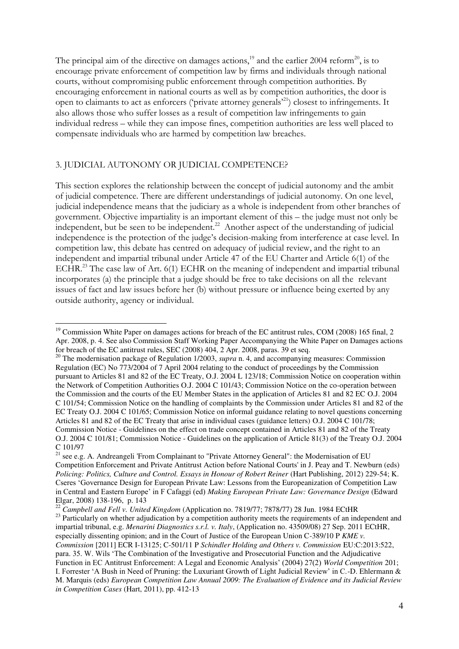The principal aim of the directive on damages actions,<sup>19</sup> and the earlier 2004 reform<sup>20</sup>, is to encourage private enforcement of competition law by firms and individuals through national courts, without compromising public enforcement through competition authorities. By encouraging enforcement in national courts as well as by competition authorities, the door is open to claimants to act as enforcers ('private attorney generals'<sup>21</sup>) closest to infringements. It also allows those who suffer losses as a result of competition law infringements to gain individual redress – while they can impose fines, competition authorities are less well placed to compensate individuals who are harmed by competition law breaches.

## 3. JUDICIAL AUTONOMY OR JUDICIAL COMPETENCE?

 $\overline{a}$ 

This section explores the relationship between the concept of judicial autonomy and the ambit of judicial competence. There are different understandings of judicial autonomy. On one level, judicial independence means that the judiciary as a whole is independent from other branches of government. Objective impartiality is an important element of this – the judge must not only be independent, but be seen to be independent.<sup>22</sup> Another aspect of the understanding of judicial independence is the protection of the judge's decision-making from interference at case level. In competition law, this debate has centred on adequacy of judicial review, and the right to an independent and impartial tribunal under Article 47 of the EU Charter and Article 6(1) of the ECHR.<sup>23</sup> The case law of Art. 6(1) ECHR on the meaning of independent and impartial tribunal incorporates (a) the principle that a judge should be free to take decisions on all the relevant issues of fact and law issues before her (b) without pressure or influence being exerted by any outside authority, agency or individual.

<sup>22</sup> *Campbell and Fell v. United Kingdom* (Application no. 7819/77; 7878/77) 28 Jun. 1984 ECtHR <sup>23</sup> Particularly on whether adjudication by a competition authority meets the requirements of an independent and impartial tribunal, e.g. *Menarini Diagnostics s.r.l. v. Italy*, (Application no. 43509/08) 27 Sep. 2011 ECtHR, especially dissenting opinion; and in the Court of Justice of the European Union C-389/10 P *KME v. Commission* [2011] ECR I-13125; C-501/11 P *Schindler Holding and Others v. Commission* EU:C:2013:522, para. 35. W. Wils 'The Combination of the Investigative and Prosecutorial Function and the Adjudicative Function in EC Antitrust Enforcement: A Legal and Economic Analysis' (2004) 27(2) *World Competition* 201; I. Forrester 'A Bush in Need of Pruning: the Luxuriant Growth of Light Judicial Review' in C.-D. Ehlermann & M. Marquis (eds) *European Competition Law Annual 2009: The Evaluation of Evidence and its Judicial Review in Competition Cases* (Hart, 2011), pp. 412-13

 $19$  Commission White Paper on damages actions for breach of the EC antitrust rules, COM (2008) 165 final, 2 Apr. 2008, p. 4. See also Commission Staff Working Paper Accompanying the White Paper on Damages actions for breach of the EC antitrust rules, SEC (2008) 404, 2 Apr. 2008, paras. 39 et seq.

<sup>20</sup> The modernisation package of Regulation 1/2003, *supra* n. 4, and accompanying measures: Commission Regulation (EC) No 773/2004 of 7 April 2004 relating to the conduct of proceedings by the Commission pursuant to Articles 81 and 82 of the EC Treaty, O.J. 2004 L 123/18; Commission Notice on cooperation within the Network of Competition Authorities O.J. 2004 C 101/43; Commission Notice on the co-operation between the Commission and the courts of the EU Member States in the application of Articles 81 and 82 EC O.J. 2004 C 101/54; Commission Notice on the handling of complaints by the Commission under Articles 81 and 82 of the EC Treaty O.J. 2004 C 101/65; Commission Notice on informal guidance relating to novel questions concerning Articles 81 and 82 of the EC Treaty that arise in individual cases (guidance letters) O.J. 2004 C 101/78; Commission Notice - Guidelines on the effect on trade concept contained in Articles 81 and 82 of the Treaty O.J. 2004 C 101/81; Commission Notice - Guidelines on the application of Article 81(3) of the Treaty O.J. 2004 C 101/97

 $21$  see e.g. A. Andreangeli 'From Complainant to "Private Attorney General": the Modernisation of EU Competition Enforcement and Private Antitrust Action before National Courts' in J. Peay and T. Newburn (eds) *Policing: Politics, Culture and Control. Essays in Honour of Robert Reiner* (Hart Publishing, 2012) 229-54; K. Cseres 'Governance Design for European Private Law: Lessons from the Europeanization of Competition Law in Central and Eastern Europe' in F Cafaggi (ed) *Making European Private Law: Governance Design* (Edward Elgar, 2008) 138-196, p. 143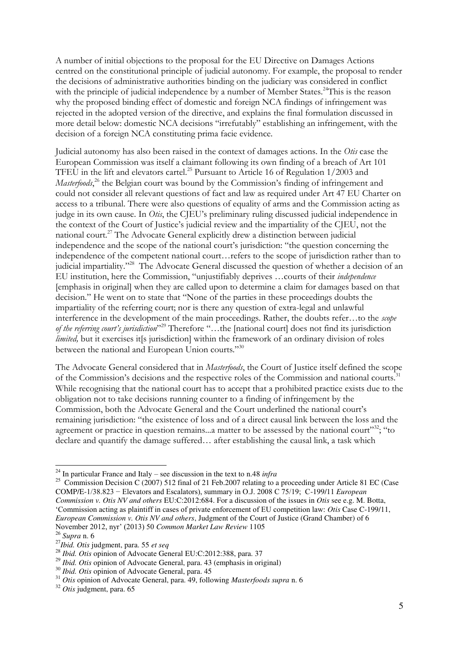A number of initial objections to the proposal for the EU Directive on Damages Actions centred on the constitutional principle of judicial autonomy. For example, the proposal to render the decisions of administrative authorities binding on the judiciary was considered in conflict with the principle of judicial independence by a number of Member States.<sup>24</sup>This is the reason why the proposed binding effect of domestic and foreign NCA findings of infringement was rejected in the adopted version of the directive, and explains the final formulation discussed in more detail below: domestic NCA decisions "irrefutably" establishing an infringement, with the decision of a foreign NCA constituting prima facie evidence.

Judicial autonomy has also been raised in the context of damages actions. In the *Otis* case the European Commission was itself a claimant following its own finding of a breach of Art 101 TFEU in the lift and elevators cartel.<sup>25</sup> Pursuant to Article 16 of Regulation 1/2003 and Masterfoods,<sup>26</sup> the Belgian court was bound by the Commission's finding of infringement and could not consider all relevant questions of fact and law as required under Art 47 EU Charter on access to a tribunal. There were also questions of equality of arms and the Commission acting as judge in its own cause. In *Otis*, the CJEU's preliminary ruling discussed judicial independence in the context of the Court of Justice's judicial review and the impartiality of the CJEU, not the national court.<sup>27</sup> The Advocate General explicitly drew a distinction between judicial independence and the scope of the national court's jurisdiction: "the question concerning the independence of the competent national court…refers to the scope of jurisdiction rather than to judicial impartiality."<sup>28</sup> The Advocate General discussed the question of whether a decision of an EU institution, here the Commission, "unjustifiably deprives …courts of their *independence*  [emphasis in original] when they are called upon to determine a claim for damages based on that decision." He went on to state that "None of the parties in these proceedings doubts the impartiality of the referring court; nor is there any question of extra-legal and unlawful interference in the development of the main proceedings. Rather, the doubts refer…to the *scope of the referring court's jurisdiction*" <sup>29</sup> Therefore "…the [national court] does not find its jurisdiction *limited*, but it exercises it[s jurisdiction] within the framework of an ordinary division of roles between the national and European Union courts."30

The Advocate General considered that in *Masterfoods*, the Court of Justice itself defined the scope of the Commission's decisions and the respective roles of the Commission and national courts.<sup>31</sup> While recognising that the national court has to accept that a prohibited practice exists due to the obligation not to take decisions running counter to a finding of infringement by the Commission, both the Advocate General and the Court underlined the national court's remaining jurisdiction: "the existence of loss and of a direct causal link between the loss and the agreement or practice in question remains...a matter to be assessed by the national court"<sup>32</sup>; "to declare and quantify the damage suffered… after establishing the causal link, a task which

<sup>24</sup> In particular France and Italy – see discussion in the text to n.48 *infra* 

<sup>&</sup>lt;sup>25</sup> Commission Decision C (2007) 512 final of 21 Feb.2007 relating to a proceeding under Article 81 EC (Case COMP/E-1/38.823 − Elevators and Escalators), summary in O.J. 2008 C 75/19; C-199/11 *European Commission v. Otis NV and others* EU:C:2012:684. For a discussion of the issues in *Otis* see e.g. M. Botta, 'Commission acting as plaintiff in cases of private enforcement of EU competition law: *Otis* Case C-199/11, *European Commission v. Otis NV and others*, Judgment of the Court of Justice (Grand Chamber) of 6 November 2012, nyr' (2013) 50 *Common Market Law Review* 1105

<sup>26</sup> *Supra* n. 6

<sup>27</sup>*Ibid. Otis* judgment, para. 55 *et seq*

<sup>&</sup>lt;sup>28</sup> *Ibid. Otis* opinion of Advocate General EU:C:2012:388, para. 37

<sup>&</sup>lt;sup>29</sup> *Ibid. Otis* opinion of Advocate General, para. 43 (emphasis in original)

<sup>30</sup> *Ibid. Otis* opinion of Advocate General, para. 45

<sup>31</sup> *Otis* opinion of Advocate General, para. 49, following *Masterfoods supra* n. 6

<sup>32</sup> *Otis* judgment, para. 65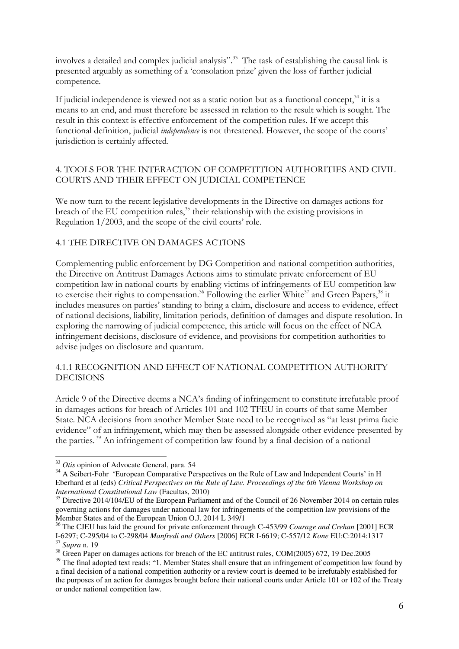involves a detailed and complex judicial analysis". <sup>33</sup> The task of establishing the causal link is presented arguably as something of a 'consolation prize' given the loss of further judicial competence.

If judicial independence is viewed not as a static notion but as a functional concept,  $34$  it is a means to an end, and must therefore be assessed in relation to the result which is sought. The result in this context is effective enforcement of the competition rules. If we accept this functional definition, judicial *independence* is not threatened. However, the scope of the courts' jurisdiction is certainly affected.

# 4. TOOLS FOR THE INTERACTION OF COMPETITION AUTHORITIES AND CIVIL COURTS AND THEIR EFFECT ON JUDICIAL COMPETENCE

We now turn to the recent legislative developments in the Directive on damages actions for breach of the EU competition rules,<sup>35</sup> their relationship with the existing provisions in Regulation 1/2003, and the scope of the civil courts' role.

## 4.1 THE DIRECTIVE ON DAMAGES ACTIONS

Complementing public enforcement by DG Competition and national competition authorities, the Directive on Antitrust Damages Actions aims to stimulate private enforcement of EU competition law in national courts by enabling victims of infringements of EU competition law to exercise their rights to compensation.<sup>36</sup> Following the earlier White<sup>37</sup> and Green Papers,<sup>38</sup> it includes measures on parties' standing to bring a claim, disclosure and access to evidence, effect of national decisions, liability, limitation periods, definition of damages and dispute resolution. In exploring the narrowing of judicial competence, this article will focus on the effect of NCA infringement decisions, disclosure of evidence, and provisions for competition authorities to advise judges on disclosure and quantum.

## 4.1.1 RECOGNITION AND EFFECT OF NATIONAL COMPETITION AUTHORITY DECISIONS

Article 9 of the Directive deems a NCA's finding of infringement to constitute irrefutable proof in damages actions for breach of Articles 101 and 102 TFEU in courts of that same Member State. NCA decisions from another Member State need to be recognized as "at least prima facie evidence" of an infringement, which may then be assessed alongside other evidence presented by the parties. <sup>39</sup> An infringement of competition law found by a final decision of a national

<sup>33</sup> *Otis* opinion of Advocate General, para. 54

<sup>&</sup>lt;sup>34</sup> A Seibert-Fohr 'European Comparative Perspectives on the Rule of Law and Independent Courts' in H Eberhard et al (eds) *Critical Perspectives on the Rule of Law. Proceedings of the 6th Vienna Workshop on International Constitutional Law* (Facultas, 2010)

<sup>&</sup>lt;sup>35</sup> Directive 2014/104/EU of the European Parliament and of the Council of 26 November 2014 on certain rules governing actions for damages under national law for infringements of the competition law provisions of the Member States and of the European Union O.J. 2014 L 349/1

<sup>36</sup> The CJEU has laid the ground for private enforcement through C-453/99 *Courage and Crehan* [2001] ECR I-6297; C-295/04 to C-298/04 *Manfredi and Others* [2006] ECR I-6619; C-557/12 *Kone* EU:C:2014:1317 <sup>37</sup> *Supra* n. 19

<sup>&</sup>lt;sup>38</sup> Green Paper on damages actions for breach of the EC antitrust rules, COM(2005) 672, 19 Dec.2005

<sup>&</sup>lt;sup>39</sup> The final adopted text reads: "1. Member States shall ensure that an infringement of competition law found by a final decision of a national competition authority or a review court is deemed to be irrefutably established for the purposes of an action for damages brought before their national courts under Article 101 or 102 of the Treaty or under national competition law.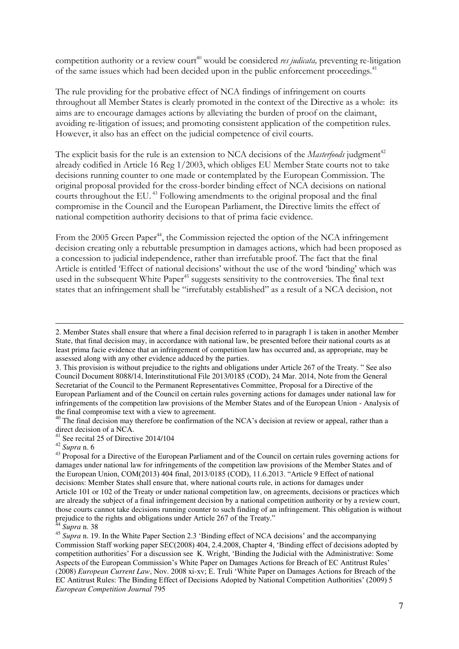competition authority or a review court<sup>40</sup> would be considered *res judicata*, preventing re-litigation of the same issues which had been decided upon in the public enforcement proceedings.<sup>41</sup>

The rule providing for the probative effect of NCA findings of infringement on courts throughout all Member States is clearly promoted in the context of the Directive as a whole: its aims are to encourage damages actions by alleviating the burden of proof on the claimant, avoiding re-litigation of issues; and promoting consistent application of the competition rules. However, it also has an effect on the judicial competence of civil courts.

The explicit basis for the rule is an extension to NCA decisions of the *Masterfoods* judgment<sup>42</sup> already codified in Article 16 Reg 1/2003, which obliges EU Member State courts not to take decisions running counter to one made or contemplated by the European Commission. The original proposal provided for the cross-border binding effect of NCA decisions on national courts throughout the EU.<sup>43</sup> Following amendments to the original proposal and the final compromise in the Council and the European Parliament, the Directive limits the effect of national competition authority decisions to that of prima facie evidence.

From the 2005 Green Paper<sup>44</sup>, the Commission rejected the option of the NCA infringement decision creating only a rebuttable presumption in damages actions, which had been proposed as a concession to judicial independence, rather than irrefutable proof. The fact that the final Article is entitled 'Effect of national decisions' without the use of the word 'binding' which was used in the subsequent White Paper<sup>45</sup> suggests sensitivity to the controversies. The final text states that an infringement shall be "irrefutably established" as a result of a NCA decision, not

<sup>2.</sup> Member States shall ensure that where a final decision referred to in paragraph 1 is taken in another Member State, that final decision may, in accordance with national law, be presented before their national courts as at least prima facie evidence that an infringement of competition law has occurred and, as appropriate, may be assessed along with any other evidence adduced by the parties.

<sup>3.</sup> This provision is without prejudice to the rights and obligations under Article 267 of the Treaty. " See also Council Document 8088/14, Interinstitutional File 2013/0185 (COD), 24 Mar. 2014, Note from the General Secretariat of the Council to the Permanent Representatives Committee, Proposal for a Directive of the European Parliament and of the Council on certain rules governing actions for damages under national law for infringements of the competition law provisions of the Member States and of the European Union - Analysis of the final compromise text with a view to agreement.

<sup>&</sup>lt;sup>40</sup> The final decision may therefore be confirmation of the NCA's decision at review or appeal, rather than a direct decision of a NCA.

<sup>41</sup> See recital 25 of Directive 2014/104

<sup>42</sup> *Supra* n. 6

<sup>&</sup>lt;sup>43</sup> Proposal for a Directive of the European Parliament and of the Council on certain rules governing actions for damages under national law for infringements of the competition law provisions of the Member States and of the European Union, COM(2013) 404 final, 2013/0185 (COD), 11.6.2013. "Article 9 Effect of national decisions: Member States shall ensure that, where national courts rule, in actions for damages under Article 101 or 102 of the Treaty or under national competition law, on agreements, decisions or practices which are already the subject of a final infringement decision by a national competition authority or by a review court, those courts cannot take decisions running counter to such finding of an infringement. This obligation is without prejudice to the rights and obligations under Article 267 of the Treaty."

<sup>44</sup> *Supra* n. 38

<sup>45</sup> *Supra* n. 19. In the White Paper Section 2.3 'Binding effect of NCA decisions' and the accompanying Commission Staff working paper SEC(2008) 404, 2.4.2008, Chapter 4, 'Binding effect of decisions adopted by competition authorities' For a discussion see K. Wright, 'Binding the Judicial with the Administrative: Some Aspects of the European Commission's White Paper on Damages Actions for Breach of EC Antitrust Rules' (2008) *European Current Law*, Nov. 2008 xi-xv; E. Truli 'White Paper on Damages Actions for Breach of the EC Antitrust Rules: The Binding Effect of Decisions Adopted by National Competition Authorities' (2009) 5 *European Competition Journal* 795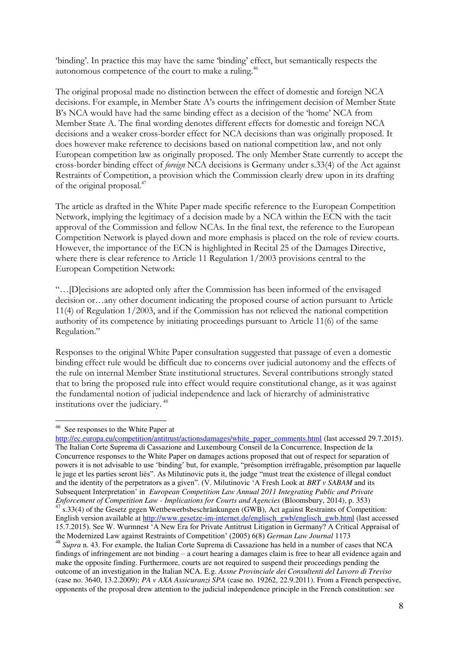'binding'. In practice this may have the same 'binding' effect, but semantically respects the autonomous competence of the court to make a ruling.<sup>46</sup>

The original proposal made no distinction between the effect of domestic and foreign NCA decisions. For example, in Member State A's courts the infringement decision of Member State B's NCA would have had the same binding effect as a decision of the 'home' NCA from Member State A. The final wording denotes different effects for domestic and foreign NCA decisions and a weaker cross-border effect for NCA decisions than was originally proposed. It does however make reference to decisions based on national competition law, and not only European competition law as originally proposed. The only Member State currently to accept the cross-border binding effect of *foreign* NCA decisions is Germany under s.33(4) of the Act against Restraints of Competition, a provision which the Commission clearly drew upon in its drafting of the original proposal.<sup>47</sup>

The article as drafted in the White Paper made specific reference to the European Competition Network, implying the legitimacy of a decision made by a NCA within the ECN with the tacit approval of the Commission and fellow NCAs. In the final text, the reference to the European Competition Network is played down and more emphasis is placed on the role of review courts. However, the importance of the ECN is highlighted in Recital 25 of the Damages Directive, where there is clear reference to Article 11 Regulation 1/2003 provisions central to the European Competition Network:

"…[D]ecisions are adopted only after the Commission has been informed of the envisaged decision or…any other document indicating the proposed course of action pursuant to Article 11(4) of Regulation 1/2003, and if the Commission has not relieved the national competition authority of its competence by initiating proceedings pursuant to Article 11(6) of the same Regulation."

Responses to the original White Paper consultation suggested that passage of even a domestic binding effect rule would be difficult due to concerns over judicial autonomy and the effects of the rule on internal Member State institutional structures. Several contributions strongly stated that to bring the proposed rule into effect would require constitutional change, as it was against the fundamental notion of judicial independence and lack of hierarchy of administrative institutions over the judiciary. <sup>48</sup>

<sup>&</sup>lt;sup>46</sup> See responses to the White Paper at

[http://ec.europa.eu/competition/antitrust/actionsdamages/white\\_paper\\_comments.html](http://ec.europa.eu/competition/antitrust/actionsdamages/white_paper_comments.html) (last accessed 29.7.2015). The Italian Corte Suprema di Cassazione and Luxembourg Conseil de la Concurrence, Inspection de la Concurrence responses to the White Paper on damages actions proposed that out of respect for separation of powers it is not advisable to use 'binding' but, for example, "présomption irréfragable, présomption par laquelle le juge et les parties seront liés". As Milutinovic puts it, the judge "must treat the existence of illegal conduct and the identity of the perpetrators as a given". (V. Milutinovic 'A Fresh Look at *BRT v SABAM* and its Subsequent Interpretation' in *European Competition Law Annual 2011 Integrating Public and Private Enforcement of Competition Law - Implications for Courts and Agencies* (Bloomsbury, 2014), p. 353)  $47 \text{ s}.33(4)$  of the Gesetz gegen Wettbewerbsbeschränkungen (GWB), Act against Restraints of Competition: English version available at [http://www.gesetze-im-internet.de/englisch\\_gwb/englisch\\_gwb.html](http://www.gesetze-im-internet.de/englisch_gwb/englisch_gwb.html) (last accessed 15.7.2015). See W. Wurmnest 'A New Era for Private Antitrust Litigation in Germany? A Critical Appraisal of the Modernized Law against Restraints of Competition' (2005) 6(8) *German Law Journal* 1173 <sup>48</sup> *Supra* n. 43. For example, the Italian Corte Suprema di Cassazione has held in a number of cases that NCA findings of infringement are not binding – a court hearing a damages claim is free to hear all evidence again and make the opposite finding. Furthermore, courts are not required to suspend their proceedings pending the outcome of an investigation in the Italian NCA. E.g. *Assne Provinciale dei Consultenti del Lavoro di Treviso* (case no. 3640, 13.2.2009); *PA v AXA Assicuranzi SPA* (case no. 19262, 22.9.2011). From a French perspective, opponents of the proposal drew attention to the judicial independence principle in the French constitution: see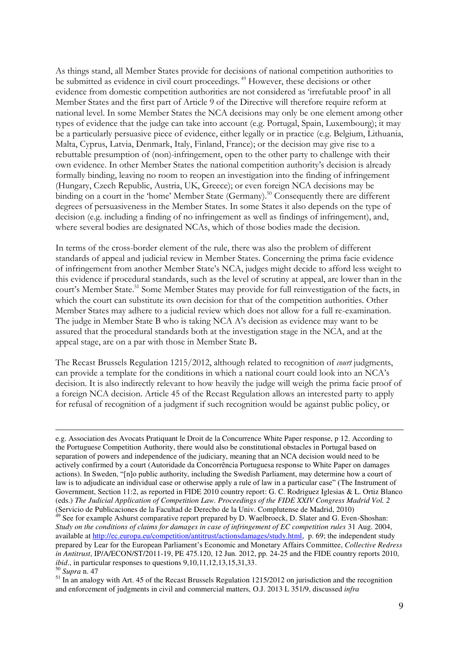As things stand, all Member States provide for decisions of national competition authorities to be submitted as evidence in civil court proceedings.<sup>49</sup> However, these decisions or other evidence from domestic competition authorities are not considered as 'irrefutable proof' in all Member States and the first part of Article 9 of the Directive will therefore require reform at national level. In some Member States the NCA decisions may only be one element among other types of evidence that the judge can take into account (e.g. Portugal, Spain, Luxembourg); it may be a particularly persuasive piece of evidence, either legally or in practice (e.g. Belgium, Lithuania, Malta, Cyprus, Latvia, Denmark, Italy, Finland, France); or the decision may give rise to a rebuttable presumption of (non)-infringement, open to the other party to challenge with their own evidence. In other Member States the national competition authority's decision is already formally binding, leaving no room to reopen an investigation into the finding of infringement (Hungary, Czech Republic, Austria, UK, Greece); or even foreign NCA decisions may be binding on a court in the 'home' Member State (Germany).<sup>50</sup> Consequently there are different degrees of persuasiveness in the Member States. In some States it also depends on the type of decision (e.g. including a finding of no infringement as well as findings of infringement), and, where several bodies are designated NCAs, which of those bodies made the decision.

In terms of the cross-border element of the rule, there was also the problem of different standards of appeal and judicial review in Member States. Concerning the prima facie evidence of infringement from another Member State's NCA, judges might decide to afford less weight to this evidence if procedural standards, such as the level of scrutiny at appeal, are lower than in the court's Member State.<sup>51</sup> Some Member States may provide for full reinvestigation of the facts, in which the court can substitute its own decision for that of the competition authorities. Other Member States may adhere to a judicial review which does not allow for a full re-examination. The judge in Member State B who is taking NCA A's decision as evidence may want to be assured that the procedural standards both at the investigation stage in the NCA, and at the appeal stage, are on a par with those in Member State B**.** 

The Recast Brussels Regulation 1215/2012, although related to recognition of *court* judgments, can provide a template for the conditions in which a national court could look into an NCA's decision. It is also indirectly relevant to how heavily the judge will weigh the prima facie proof of a foreign NCA decision. Article 45 of the Recast Regulation allows an interested party to apply for refusal of recognition of a judgment if such recognition would be against public policy, or

e.g. Association des Avocats Pratiquant le Droit de la Concurrence White Paper response, p 12. According to the Portuguese Competition Authority, there would also be constitutional obstacles in Portugal based on separation of powers and independence of the judiciary, meaning that an NCA decision would need to be actively confirmed by a court (Autoridade da Concorrência Portuguesa response to White Paper on damages actions). In Sweden, "[n]o public authority, including the Swedish Parliament, may determine how a court of law is to adjudicate an individual case or otherwise apply a rule of law in a particular case" (The Instrument of Government, Section 11:2, as reported in FIDE 2010 country report: G. C. Rodriguez Iglesias & L. Ortiz Blanco (eds.) *The Judicial Application of Competition Law. Proceedings of the FIDE XXIV Congress Madrid Vol. 2* (Servicio de Publicaciones de la Facultad de Derecho de la Univ. Complutense de Madrid, 2010)

 $49$  See for example Ashurst comparative report prepared by D. Waelbroeck, D. Slater and G. Even-Shoshan: *Study on the conditions of claims for damages in case of infringement of EC competition rules* 31 Aug. 2004, available at [http://ec.europa.eu/competition/antitrust/actionsdamages/study.html,](http://ec.europa.eu/competition/antitrust/actionsdamages/study.html) p. 69; the independent study prepared by Lear for the European Parliament's Economic and Monetary Affairs Committee, *Collective Redress in Antitrust*, IP/A/ECON/ST/2011-19, PE 475.120, 12 Jun. 2012, pp. 24-25 and the FIDE country reports 2010, *ibid.*, in particular responses to questions 9,10,11,12,13,15,31,33. <sup>50</sup> *Supra* n. 47

<sup>&</sup>lt;sup>51</sup> In an analogy with Art. 45 of the Recast Brussels Regulation 1215/2012 on jurisdiction and the recognition and enforcement of judgments in civil and commercial matters, O.J. 2013 L 351/9, discussed *infra*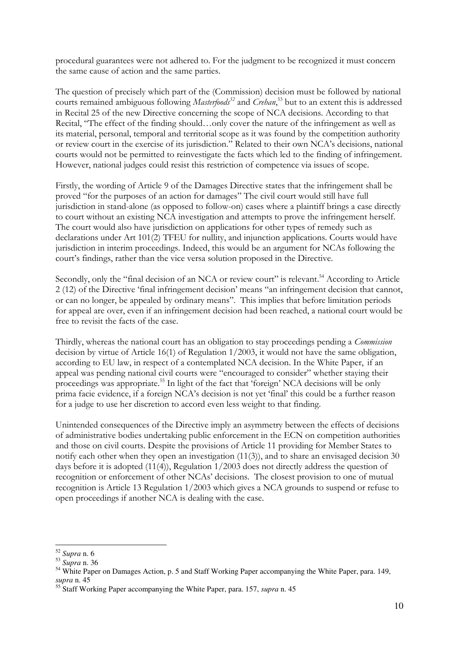procedural guarantees were not adhered to. For the judgment to be recognized it must concern the same cause of action and the same parties.

The question of precisely which part of the (Commission) decision must be followed by national courts remained ambiguous following *Masterfoods<sup>52</sup>* and *Crehan*, <sup>53</sup> but to an extent this is addressed in Recital 25 of the new Directive concerning the scope of NCA decisions. According to that Recital, "The effect of the finding should…only cover the nature of the infringement as well as its material, personal, temporal and territorial scope as it was found by the competition authority or review court in the exercise of its jurisdiction." Related to their own NCA's decisions, national courts would not be permitted to reinvestigate the facts which led to the finding of infringement. However, national judges could resist this restriction of competence via issues of scope.

Firstly, the wording of Article 9 of the Damages Directive states that the infringement shall be proved "for the purposes of an action for damages" The civil court would still have full jurisdiction in stand-alone (as opposed to follow-on) cases where a plaintiff brings a case directly to court without an existing NCA investigation and attempts to prove the infringement herself. The court would also have jurisdiction on applications for other types of remedy such as declarations under Art 101(2) TFEU for nullity, and injunction applications. Courts would have jurisdiction in interim proceedings. Indeed, this would be an argument for NCAs following the court's findings, rather than the vice versa solution proposed in the Directive.

Secondly, only the "final decision of an NCA or review court" is relevant.<sup>54</sup> According to Article 2 (12) of the Directive 'final infringement decision' means "an infringement decision that cannot, or can no longer, be appealed by ordinary means". This implies that before limitation periods for appeal are over, even if an infringement decision had been reached, a national court would be free to revisit the facts of the case.

Thirdly, whereas the national court has an obligation to stay proceedings pending a *Commission* decision by virtue of Article 16(1) of Regulation 1/2003, it would not have the same obligation, according to EU law, in respect of a contemplated NCA decision. In the White Paper, if an appeal was pending national civil courts were "encouraged to consider" whether staying their proceedings was appropriate.<sup>55</sup> In light of the fact that 'foreign' NCA decisions will be only prima facie evidence, if a foreign NCA's decision is not yet 'final' this could be a further reason for a judge to use her discretion to accord even less weight to that finding.

Unintended consequences of the Directive imply an asymmetry between the effects of decisions of administrative bodies undertaking public enforcement in the ECN on competition authorities and those on civil courts. Despite the provisions of Article 11 providing for Member States to notify each other when they open an investigation  $(11(3))$ , and to share an envisaged decision 30 days before it is adopted (11(4)), Regulation 1/2003 does not directly address the question of recognition or enforcement of other NCAs' decisions. The closest provision to one of mutual recognition is Article 13 Regulation 1/2003 which gives a NCA grounds to suspend or refuse to open proceedings if another NCA is dealing with the case.

<sup>52</sup> *Supra* n. 6

<sup>53</sup> *Supra* n. 36

<sup>&</sup>lt;sup>54</sup> White Paper on Damages Action, p. 5 and Staff Working Paper accompanying the White Paper, para. 149, *supra* n. 45

<sup>55</sup> Staff Working Paper accompanying the White Paper, para. 157, *supra* n. 45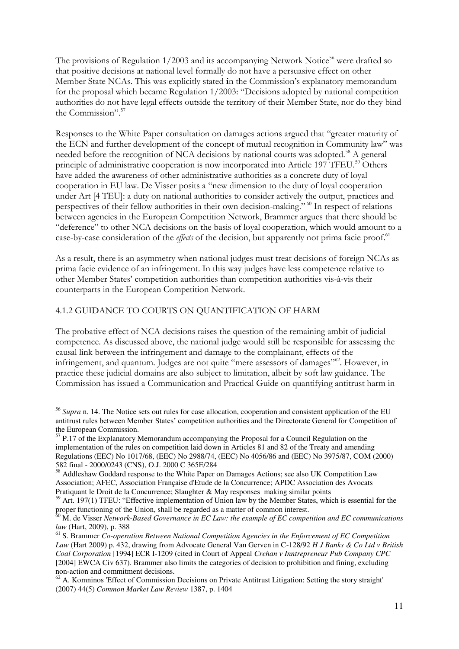The provisions of Regulation  $1/2003$  and its accompanying Network Notice<sup>56</sup> were drafted so that positive decisions at national level formally do not have a persuasive effect on other Member State NCAs. This was explicitly stated **i**n the Commission's explanatory memorandum for the proposal which became Regulation 1/2003: "Decisions adopted by national competition authorities do not have legal effects outside the territory of their Member State, nor do they bind the Commission".<sup>57</sup>

Responses to the White Paper consultation on damages actions argued that "greater maturity of the ECN and further development of the concept of mutual recognition in Community law" was needed before the recognition of NCA decisions by national courts was adopted.<sup>58</sup> A general principle of administrative cooperation is now incorporated into Article 197 TFEU.<sup>59</sup> Others have added the awareness of other administrative authorities as a concrete duty of loyal cooperation in EU law. De Visser posits a "new dimension to the duty of loyal cooperation under Art [4 TEU]: a duty on national authorities to consider actively the output, practices and perspectives of their fellow authorities in their own decision-making." <sup>60</sup> In respect of relations between agencies in the European Competition Network, Brammer argues that there should be "deference" to other NCA decisions on the basis of loyal cooperation, which would amount to a case-by-case consideration of the *effects* of the decision, but apparently not prima facie proof.<sup>61</sup>

As a result, there is an asymmetry when national judges must treat decisions of foreign NCAs as prima facie evidence of an infringement. In this way judges have less competence relative to other Member States' competition authorities than competition authorities vis-à-vis their counterparts in the European Competition Network.

## 4.1.2 GUIDANCE TO COURTS ON QUANTIFICATION OF HARM

 $\overline{a}$ 

The probative effect of NCA decisions raises the question of the remaining ambit of judicial competence. As discussed above, the national judge would still be responsible for assessing the causal link between the infringement and damage to the complainant, effects of the infringement, and quantum. Judges are not quite "mere assessors of damages"<sup>62</sup>. However, in practice these judicial domains are also subject to limitation, albeit by soft law guidance. The Commission has issued a Communication and Practical Guide on quantifying antitrust harm in

<sup>56</sup> *Supra* n. 14. The Notice sets out rules for case allocation, cooperation and consistent application of the EU antitrust rules between Member States' competition authorities and the Directorate General for Competition of the European Commission.

 $57$  P.17 of the Explanatory Memorandum accompanying the Proposal for a Council Regulation on the implementation of the rules on competition laid down in Articles 81 and 82 of the Treaty and amending Regulations (EEC) No 1017/68, (EEC) No 2988/74, (EEC) No 4056/86 and (EEC) No 3975/87, COM (2000) 582 final - 2000/0243 (CNS), O.J. 2000 C 365E/284

<sup>58</sup> Addleshaw Goddard response to the White Paper on Damages Actions; see also UK Competition Law Association; AFEC, Association Française d'Etude de la Concurrence; APDC Association des Avocats Pratiquant le Droit de la Concurrence; Slaughter & May responses making similar points

<sup>&</sup>lt;sup>59</sup> Art. 197(1) TFEU: "Effective implementation of Union law by the Member States, which is essential for the proper functioning of the Union, shall be regarded as a matter of common interest.

<sup>60</sup> M. de Visser *Network-Based Governance in EC Law: the example of EC competition and EC communications law* (Hart, 2009), p. 388

<sup>61</sup> S. Brammer *Co-operation Between National Competition Agencies in the Enforcement of EC Competition Law* (Hart 2009) p. 432, drawing from Advocate General Van Gerven in C-128/92 *H J Banks & Co Ltd v British Coal Corporation* [1994] ECR I-1209 (cited in Court of Appeal *Crehan v Inntrepreneur Pub Company CPC*  [2004] EWCA Civ 637). Brammer also limits the categories of decision to prohibition and fining, excluding non-action and commitment decisions.

<sup>&</sup>lt;sup>62</sup> A. Komninos 'Effect of Commission Decisions on Private Antitrust Litigation: Setting the story straight' (2007) 44(5) *Common Market Law Review* 1387, p. 1404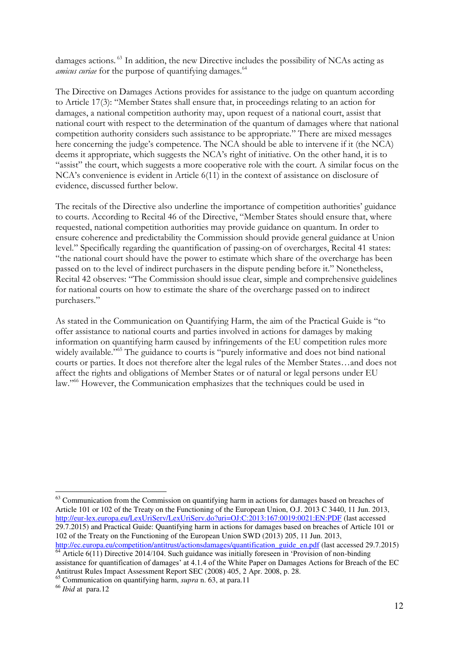damages actions. <sup>63</sup> In addition, the new Directive includes the possibility of NCAs acting as amicus curiae for the purpose of quantifying damages.<sup>64</sup>

The Directive on Damages Actions provides for assistance to the judge on quantum according to Article 17(3): "Member States shall ensure that, in proceedings relating to an action for damages, a national competition authority may, upon request of a national court, assist that national court with respect to the determination of the quantum of damages where that national competition authority considers such assistance to be appropriate." There are mixed messages here concerning the judge's competence. The NCA should be able to intervene if it (the NCA) deems it appropriate, which suggests the NCA's right of initiative. On the other hand, it is to "assist" the court, which suggests a more cooperative role with the court. A similar focus on the NCA's convenience is evident in Article 6(11) in the context of assistance on disclosure of evidence, discussed further below.

The recitals of the Directive also underline the importance of competition authorities' guidance to courts. According to Recital 46 of the Directive, "Member States should ensure that, where requested, national competition authorities may provide guidance on quantum. In order to ensure coherence and predictability the Commission should provide general guidance at Union level." Specifically regarding the quantification of passing-on of overcharges, Recital 41 states: "the national court should have the power to estimate which share of the overcharge has been passed on to the level of indirect purchasers in the dispute pending before it." Nonetheless, Recital 42 observes: "The Commission should issue clear, simple and comprehensive guidelines for national courts on how to estimate the share of the overcharge passed on to indirect purchasers."

As stated in the Communication on Quantifying Harm, the aim of the Practical Guide is "to offer assistance to national courts and parties involved in actions for damages by making information on quantifying harm caused by infringements of the EU competition rules more widely available." <sup>65</sup> The guidance to courts is "purely informative and does not bind national courts or parties. It does not therefore alter the legal rules of the Member States…and does not affect the rights and obligations of Member States or of natural or legal persons under EU law." <sup>66</sup> However, the Communication emphasizes that the techniques could be used in

 $63$  Communication from the Commission on quantifying harm in actions for damages based on breaches of Article 101 or 102 of the Treaty on the Functioning of the European Union, O.J. 2013 C 3440, 11 Jun. 2013, <http://eur-lex.europa.eu/LexUriServ/LexUriServ.do?uri=OJ:C:2013:167:0019:0021:EN:PDF>(last accessed 29.7.2015) and Practical Guide: Quantifying harm in actions for damages based on breaches of Article 101 or 102 of the Treaty on the Functioning of the European Union SWD (2013) 205, 11 Jun. 2013, [http://ec.europa.eu/competition/antitrust/actionsdamages/quantification\\_guide\\_en.pdf \(](http://ec.europa.eu/competition/antitrust/actionsdamages/quantification_guide_en.pdf)last accessed 29.7.2015)

 $\frac{64}{64}$  Article 6(11) Directive 2014/104. Such guidance was initially foreseen in 'Provision of non-binding assistance for quantification of damages' at 4.1.4 of the White Paper on Damages Actions for Breach of the EC Antitrust Rules Impact Assessment Report SEC (2008) 405, 2 Apr. 2008, p. 28.

<sup>65</sup> Communication on quantifying harm, *supra* n. 63, at para.11

<sup>66</sup> *Ibid* at para.12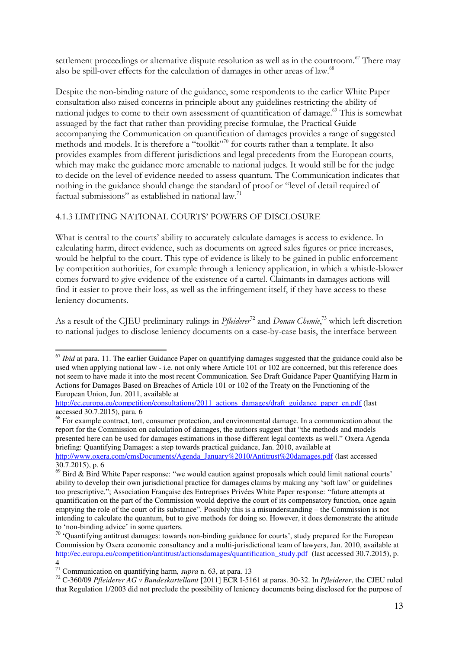settlement proceedings or alternative dispute resolution as well as in the courtroom.<sup>67</sup> There may also be spill-over effects for the calculation of damages in other areas of law.<sup>68</sup>

Despite the non-binding nature of the guidance, some respondents to the earlier White Paper consultation also raised concerns in principle about any guidelines restricting the ability of national judges to come to their own assessment of quantification of damage.<sup>69</sup> This is somewhat assuaged by the fact that rather than providing precise formulae, the Practical Guide accompanying the Communication on quantification of damages provides a range of suggested methods and models. It is therefore a "toolkit"<sup>70</sup> for courts rather than a template. It also provides examples from different jurisdictions and legal precedents from the European courts, which may make the guidance more amenable to national judges. It would still be for the judge to decide on the level of evidence needed to assess quantum. The Communication indicates that nothing in the guidance should change the standard of proof or "level of detail required of factual submissions" as established in national law.<sup>71</sup>

## 4.1.3 LIMITING NATIONAL COURTS' POWERS OF DISCLOSURE

What is central to the courts' ability to accurately calculate damages is access to evidence. In calculating harm, direct evidence, such as documents on agreed sales figures or price increases, would be helpful to the court. This type of evidence is likely to be gained in public enforcement by competition authorities, for example through a leniency application, in which a whistle-blower comes forward to give evidence of the existence of a cartel. Claimants in damages actions will find it easier to prove their loss, as well as the infringement itself, if they have access to these leniency documents.

As a result of the CJEU preliminary rulings in *Pfleiderer*<sup>72</sup> and *Donau Chemie*, <sup>73</sup> which left discretion to national judges to disclose leniency documents on a case-by-case basis, the interface between

<sup>68</sup> For example contract, tort, consumer protection, and environmental damage. In a communication about the report for the Commission on calculation of damages, the authors suggest that "the methods and models presented here can be used for damages estimations in those different legal contexts as well." Oxera Agenda briefing: Quantifying Damages: a step towards practical guidance, Jan. 2010, available at [http://www.oxera.com/cmsDocuments/Agenda\\_January%2010/Antitrust%20damages.pdf](http://www.oxera.com/cmsDocuments/Agenda_January%2010/Antitrust%20damages.pdf) (last accessed 30.7.2015), p. 6

<sup>&</sup>lt;sup>67</sup> *Ibid* at para. 11. The earlier Guidance Paper on quantifying damages suggested that the guidance could also be used when applying national law - i.e. not only where Article 101 or 102 are concerned, but this reference does not seem to have made it into the most recent Communication. See Draft Guidance Paper Quantifying Harm in Actions for Damages Based on Breaches of Article 101 or 102 of the Treaty on the Functioning of the European Union, Jun. 2011, available at

[http://ec.europa.eu/competition/consultations/2011\\_actions\\_damages/draft\\_guidance\\_paper\\_en.pdf](http://ec.europa.eu/competition/consultations/2011_actions_damages/draft_guidance_paper_en.pdf) (last accessed 30.7.2015), para. 6

 $^{69}$  Bird & Bird White Paper response: "we would caution against proposals which could limit national courts' ability to develop their own jurisdictional practice for damages claims by making any 'soft law' or guidelines too prescriptive."; Association Française des Entreprises Privées White Paper response: "future attempts at quantification on the part of the Commission would deprive the court of its compensatory function, once again emptying the role of the court of its substance". Possibly this is a misunderstanding – the Commission is not intending to calculate the quantum, but to give methods for doing so. However, it does demonstrate the attitude to 'non-binding advice' in some quarters.

<sup>&</sup>lt;sup>70</sup> 'Quantifying antitrust damages: towards non-binding guidance for courts', study prepared for the European Commission by Oxera economic consultancy and a multi-jurisdictional team of lawyers, Jan. 2010, available at [http://ec.europa.eu/competition/antitrust/actionsdamages/quantification\\_study.pdf](http://ec.europa.eu/competition/antitrust/actionsdamages/quantification_study.pdf) (last accessed 30.7.2015), p. 4

<sup>71</sup> Communication on quantifying harm, *supra* n. 63, at para. 13

<sup>72</sup> C-360/09 *Pfleiderer AG v Bundeskartellamt* [2011] ECR I-5161 at paras. 30-32. In *Pfleiderer*, the CJEU ruled that Regulation 1/2003 did not preclude the possibility of leniency documents being disclosed for the purpose of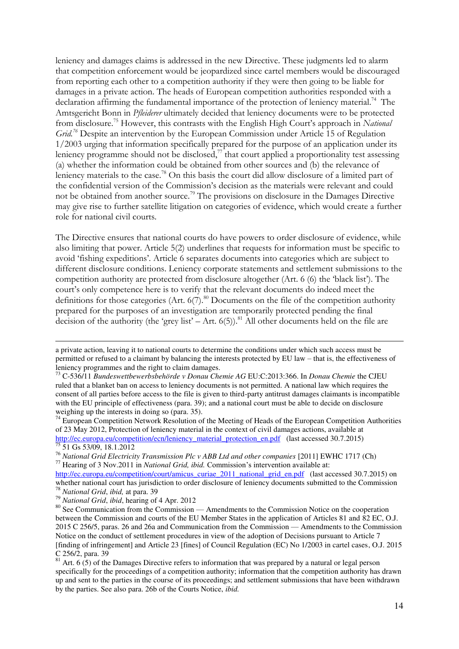leniency and damages claims is addressed in the new Directive. These judgments led to alarm that competition enforcement would be jeopardized since cartel members would be discouraged from reporting each other to a competition authority if they were then going to be liable for damages in a private action. The heads of European competition authorities responded with a declaration affirming the fundamental importance of the protection of leniency material.<sup>74</sup> The Amtsgericht Bonn in *Pfleiderer* ultimately decided that leniency documents were to be protected from disclosure.<sup>75</sup> However, this contrasts with the English High Court's approach in *National Grid.<sup>76</sup>* Despite an intervention by the European Commission under Article 15 of Regulation 1/2003 urging that information specifically prepared for the purpose of an application under its leniency programme should not be disclosed, $\frac{7}{7}$  that court applied a proportionality test assessing (a) whether the information could be obtained from other sources and (b) the relevance of leniency materials to the case.<sup>78</sup> On this basis the court did allow disclosure of a limited part of the confidential version of the Commission's decision as the materials were relevant and could not be obtained from another source.<sup>79</sup> The provisions on disclosure in the Damages Directive may give rise to further satellite litigation on categories of evidence, which would create a further role for national civil courts.

The Directive ensures that national courts do have powers to order disclosure of evidence, while also limiting that power. Article 5(2) underlines that requests for information must be specific to avoid 'fishing expeditions'. Article 6 separates documents into categories which are subject to different disclosure conditions. Leniency corporate statements and settlement submissions to the competition authority are protected from disclosure altogether (Art. 6 (6) the 'black list'). The court's only competence here is to verify that the relevant documents do indeed meet the definitions for those categories (Art.  $6(7)$ .<sup>80</sup> Documents on the file of the competition authority prepared for the purposes of an investigation are temporarily protected pending the final decision of the authority (the 'grey list' – Art.  $6(5)$ ).<sup>81</sup> All other documents held on the file are

a private action, leaving it to national courts to determine the conditions under which such access must be permitted or refused to a claimant by balancing the interests protected by EU law – that is, the effectiveness of leniency programmes and the right to claim damages.

<sup>73</sup> C-536/11 *Bundeswettbewerbsbehörde v Donau Chemie AG* EU:C:2013:366. In *Donau Chemie* the CJEU ruled that a blanket ban on access to leniency documents is not permitted. A national law which requires the consent of all parties before access to the file is given to third-party antitrust damages claimants is incompatible with the EU principle of effectiveness (para. 39); and a national court must be able to decide on disclosure weighing up the interests in doing so (para. 35).

 $74$  European Competition Network Resolution of the Meeting of Heads of the European Competition Authorities of 23 May 2012, Protection of leniency material in the context of civil damages actions, available at [http://ec.europa.eu/competition/ecn/leniency\\_material\\_protection\\_en.pdf](http://ec.europa.eu/competition/ecn/leniency_material_protection_en.pdf) (last accessed 30.7.2015) <sup>75</sup> 51 Gs 53/09, 18.1.2012

<sup>76</sup> *National Grid Electricity Transmission Plc v ABB Ltd and other companies* [2011] EWHC 1717 (Ch) <sup>77</sup> Hearing of 3 Nov.2011 in *National Grid, ibid.* Commission's intervention available at:

[http://ec.europa.eu/competition/court/amicus\\_curiae\\_2011\\_national\\_grid\\_en.pdf](http://ec.europa.eu/competition/court/amicus_curiae_2011_national_grid_en.pdf) (last accessed 30.7.2015) on whether national court has jurisdiction to order disclosure of leniency documents submitted to the Commission <sup>78</sup> *National Grid*, *ibid,* at para. 39

<sup>79</sup> *National Grid*, *ibid*, hearing of 4 Apr. 2012

<sup>&</sup>lt;sup>80</sup> See Communication from the Commission — Amendments to the Commission Notice on the cooperation between the Commission and courts of the EU Member States in the application of Articles 81 and 82 EC, O.J. 2015 C 256/5, paras. 26 and 26a and Communication from the Commission — Amendments to the Commission Notice on the conduct of settlement procedures in view of the adoption of Decisions pursuant to Article 7 [finding of infringement] and Article 23 [fines] of Council Regulation (EC) No 1/2003 in cartel cases, O.J. 2015 C 256/2, para. 39

 $81$  Art. 6 (5) of the Damages Directive refers to information that was prepared by a natural or legal person specifically for the proceedings of a competition authority; information that the competition authority has drawn up and sent to the parties in the course of its proceedings; and settlement submissions that have been withdrawn by the parties. See also para. 26b of the Courts Notice, *ibid.*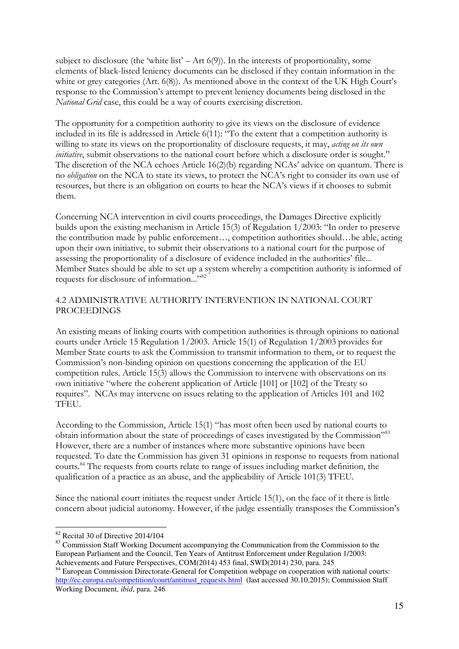subject to disclosure (the 'white list' – Art  $6(9)$ ). In the interests of proportionality, some elements of black-listed leniency documents can be disclosed if they contain information in the white or grey categories (Art. 6(8)). As mentioned above in the context of the UK High Court's response to the Commission's attempt to prevent leniency documents being disclosed in the *National Grid* case, this could be a way of courts exercising discretion.

The opportunity for a competition authority to give its views on the disclosure of evidence included in its file is addressed in Article 6(11): "To the extent that a competition authority is willing to state its views on the proportionality of disclosure requests, it may, *acting on its own initiative*, submit observations to the national court before which a disclosure order is sought." The discretion of the NCA echoes Article 16(2)(b) regarding NCAs' advice on quantum. There is no *obligation* on the NCA to state its views, to protect the NCA's right to consider its own use of resources, but there is an obligation on courts to hear the NCA's views if it chooses to submit them.

Concerning NCA intervention in civil courts proceedings, the Damages Directive explicitly builds upon the existing mechanism in Article 15(3) of Regulation 1/2003: "In order to preserve the contribution made by public enforcement…, competition authorities should…be able, acting upon their own initiative, to submit their observations to a national court for the purpose of assessing the proportionality of a disclosure of evidence included in the authorities' file... Member States should be able to set up a system whereby a competition authority is informed of requests for disclosure of information..."<sup>82</sup>

## 4.2 ADMINISTRATIVE AUTHORITY INTERVENTION IN NATIONAL COURT PROCEEDINGS

An existing means of linking courts with competition authorities is through opinions to national courts under Article 15 Regulation 1/2003. Article 15(1) of Regulation 1/2003 provides for Member State courts to ask the Commission to transmit information to them, or to request the Commission's non-binding opinion on questions concerning the application of the EU competition rules. Article 15(3) allows the Commission to intervene with observations on its own initiative "where the coherent application of Article [101] or [102] of the Treaty so requires". NCAs may intervene on issues relating to the application of Articles 101 and 102 TFEU.

According to the Commission, Article 15(1) "has most often been used by national courts to obtain information about the state of proceedings of cases investigated by the Commission"<sup>83</sup> However, there are a number of instances where more substantive opinions have been requested. To date the Commission has given 31 opinions in response to requests from national courts.<sup>84</sup> The requests from courts relate to range of issues including market definition, the qualification of a practice as an abuse, and the applicability of Article 101(3) TFEU.

Since the national court initiates the request under Article 15(1), on the face of it there is little concern about judicial autonomy. However, if the judge essentially transposes the Commission's

<sup>82</sup> Recital 30 of Directive 2014/104

<sup>83</sup> Commission Staff Working Document accompanying the Communication from the Commission to the European Parliament and the Council, Ten Years of Antitrust Enforcement under Regulation 1/2003: Achievements and Future Perspectives, COM(2014) 453 final, SWD(2014) 230, para. 245

<sup>&</sup>lt;sup>84</sup> European Commission Directorate-General for Competition webpage on cooperation with national courts: [http://ec.europa.eu/competition/court/antitrust\\_requests.html](http://ec.europa.eu/competition/court/antitrust_requests.html) (last accessed 30.10.2015); Commission Staff Working Document, *ibid*, para. 246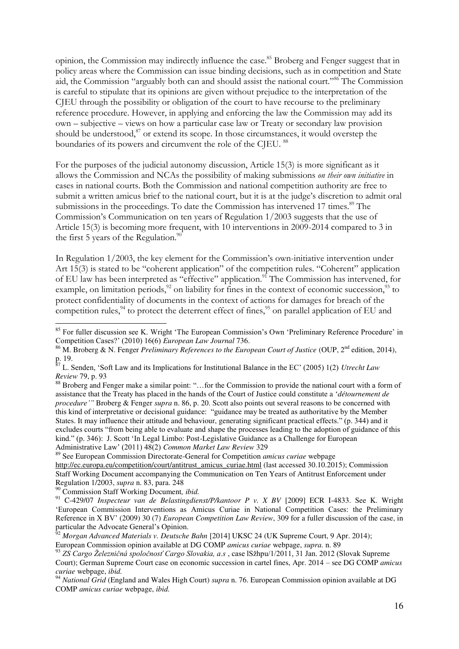opinion, the Commission may indirectly influence the case.<sup>85</sup> Broberg and Fenger suggest that in policy areas where the Commission can issue binding decisions, such as in competition and State aid, the Commission "arguably both can and should assist the national court."<sup>86</sup> The Commission is careful to stipulate that its opinions are given without prejudice to the interpretation of the CJEU through the possibility or obligation of the court to have recourse to the preliminary reference procedure. However, in applying and enforcing the law the Commission may add its own – subjective – views on how a particular case law or Treaty or secondary law provision should be understood, $87$  or extend its scope. In those circumstances, it would overstep the boundaries of its powers and circumvent the role of the CIEU. <sup>88</sup>

For the purposes of the judicial autonomy discussion, Article 15(3) is more significant as it allows the Commission and NCAs the possibility of making submissions *on their own initiative* in cases in national courts. Both the Commission and national competition authority are free to submit a written amicus brief to the national court, but it is at the judge's discretion to admit oral submissions in the proceedings. To date the Commission has intervened 17 times.<sup>89</sup> The Commission's Communication on ten years of Regulation 1/2003 suggests that the use of Article 15(3) is becoming more frequent, with 10 interventions in 2009-2014 compared to 3 in the first 5 years of the Regulation. $90$ 

In Regulation 1/2003, the key element for the Commission's own-initiative intervention under Art 15(3) is stated to be "coherent application" of the competition rules. "Coherent" application of EU law has been interpreted as "effective" application.<sup>91</sup> The Commission has intervened, for example, on limitation periods, $92$  on liability for fines in the context of economic succession, $93$  to protect confidentiality of documents in the context of actions for damages for breach of the competition rules,<sup>94</sup> to protect the deterrent effect of fines,<sup>95</sup> on parallel application of EU and

<sup>&</sup>lt;sup>85</sup> For fuller discussion see K. Wright 'The European Commission's Own 'Preliminary Reference Procedure' in Competition Cases?' (2010) 16(6) *European Law Journal* 736.

<sup>&</sup>lt;sup>86</sup> M. Broberg & N. Fenger *Preliminary References to the European Court of Justice* (OUP, 2<sup>nd</sup> edition, 2014), p. 19.

<sup>87</sup> L. Senden, 'Soft Law and its Implications for Institutional Balance in the EC' (2005) 1(2) *Utrecht Law Review* 79, p. 93

<sup>&</sup>lt;sup>88</sup> Broberg and Fenger make a similar point: "... for the Commission to provide the national court with a form of assistance that the Treaty has placed in the hands of the Court of Justice could constitute a '*détournement de procedure'"* Broberg & Fenger *supra* n. 86, p. 20. Scott also points out several reasons to be concerned with this kind of interpretative or decisional guidance: "guidance may be treated as authoritative by the Member States. It may influence their attitude and behaviour, generating significant practical effects." (p. 344) and it excludes courts "from being able to evaluate and shape the processes leading to the adoption of guidance of this kind." (p. 346): J. Scott 'In Legal Limbo: Post-Legislative Guidance as a Challenge for European Administrative Law' (2011) 48(2) *Common Market Law Review* 329

<sup>89</sup> See European Commission Directorate-General for Competition *amicus curiae* webpage [http://ec.europa.eu/competition/court/antitrust\\_amicus\\_curiae.html \(](http://ec.europa.eu/competition/court/antitrust_amicus_curiae.html)last accessed 30.10.2015); Commission Staff Working Document accompanying the Communication on Ten Years of Antitrust Enforcement under Regulation 1/2003, *supra* n. 83, para. 248

<sup>90</sup> Commission Staff Working Document*, ibid.* 

<sup>91</sup> C-429/07 *Inspecteur van de Belastingdienst/P/kantoor P v. X BV* [2009] ECR I-4833. See K. Wright 'European Commission Interventions as Amicus Curiae in National Competition Cases: the Preliminary Reference in X BV' (2009) 30 (7) *European Competition Law Review*, 309 for a fuller discussion of the case, in particular the Advocate General's Opinion.

<sup>92</sup> *Morgan Advanced Materials v. Deutsche Bahn* [2014] UKSC 24 (UK Supreme Court, 9 Apr. 2014);

European Commission opinion available at DG COMP *amicus curiae* webpage, *supra.* n. 89

<sup>93</sup> *ZS Cargo Železničná spoločnosť Cargo Slovakia, a.s* , case lSžhpu/1/2011, 31 Jan. 2012 (Slovak Supreme Court); German Supreme Court case on economic succession in cartel fines, Apr. 2014 – see DG COMP *amicus curiae* webpage, *ibid.*

<sup>94</sup> *National Grid* (England and Wales High Court) *supra* n. 76. European Commission opinion available at DG COMP *amicus curiae* webpage, *ibid.*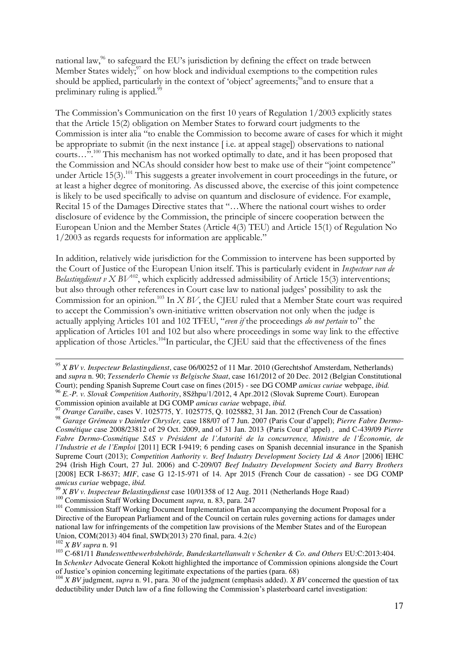national law,<sup>96</sup> to safeguard the EU's jurisdiction by defining the effect on trade between Member States widely; $\frac{97}{2}$  on how block and individual exemptions to the competition rules should be applied, particularly in the context of 'object' agreements;<sup>98</sup>and to ensure that a preliminary ruling is applied.<sup>99</sup>

The Commission's Communication on the first 10 years of Regulation 1/2003 explicitly states that the Article 15(2) obligation on Member States to forward court judgments to the Commission is inter alia "to enable the Commission to become aware of cases for which it might be appropriate to submit (in the next instance [ i.e. at appeal stage]) observations to national courts…".<sup>100</sup> This mechanism has not worked optimally to date, and it has been proposed that the Commission and NCAs should consider how best to make use of their "joint competence" under Article 15(3).<sup>101</sup> This suggests a greater involvement in court proceedings in the future, or at least a higher degree of monitoring. As discussed above, the exercise of this joint competence is likely to be used specifically to advise on quantum and disclosure of evidence. For example, Recital 15 of the Damages Directive states that "…Where the national court wishes to order disclosure of evidence by the Commission, the principle of sincere cooperation between the European Union and the Member States (Article 4(3) TEU) and Article 15(1) of Regulation No 1/2003 as regards requests for information are applicable."

In addition, relatively wide jurisdiction for the Commission to intervene has been supported by the Court of Justice of the European Union itself. This is particularly evident in *Inspecteur van de Belastingdienst v X BV*<sup>102</sup>, which explicitly addressed admissibility of Article 15(3) interventions; but also through other references in Court case law to national judges' possibility to ask the Commission for an opinion.<sup>103</sup> In *X BV*, the CJEU ruled that a Member State court was required to accept the Commission's own-initiative written observation not only when the judge is actually applying Articles 101 and 102 TFEU, "*even if* the proceedings *do not pertain* to" the application of Articles 101 and 102 but also where proceedings in some way link to the effective application of those Articles.<sup>104</sup>In particular, the CJEU said that the effectiveness of the fines

<sup>95</sup> *X BV v. Inspecteur Belastingdienst*, case 06/00252 of 11 Mar. 2010 (Gerechtshof Amsterdam, Netherlands) and *supra* n. 90; *Tessenderlo Chemie vs Belgische Staat*, case 161/2012 of 20 Dec. 2012 (Belgian Constitutional Court); pending Spanish Supreme Court case on fines (2015) - see DG COMP *amicus curiae* webpage, *ibid.* <sup>96</sup> *E.-P. v. Slovak Competition Authority*, 8Sžhpu/1/2012, 4 Apr.2012 (Slovak Supreme Court). European Commission opinion available at DG COMP *amicus curiae* webpage, *ibid.*<sup>97</sup> Organic Caustic Material Contractor</sub>

<sup>97</sup> *Orange Caraïbe*, cases V. 1025775, Y. 1025775, Q. 1025882, 31 Jan. 2012 (French Cour de Cassation)

<sup>98</sup> *Garage Grémeau v Daimler Chrysler,* case 188/07 of 7 Jun. 2007 (Paris Cour d'appel); *Pierre Fabre Dermo-Cosmétique* case 2008/23812 of 29 Oct. 2009, and of 31 Jan. 2013 (Paris Cour d'appel) *,* and C-439/09 *Pierre Fabre Dermo-Cosmétique SAS v Président de l'Autorité de la concurrence, Ministre de l'Économie, de l'Industrie et de l'Emploi* [2011] ECR I-9419; 6 pending cases on Spanish decennial insurance in the Spanish Supreme Court (2013); *Competition Authority v. Beef Industry Development Society Ltd & Anor* [2006] IEHC 294 (Irish High Court, 27 Jul. 2006) and C-209/07 *Beef Industry Development Society and Barry Brothers* [2008] ECR I-8637; *MIF*, case G 12-15-971 of 14. Apr 2015 (French Cour de cassation) - see DG COMP *amicus curiae* webpage, *ibid.*

<sup>99</sup> *X BV v. Inspecteur Belastingdienst* case 10/01358 of 12 Aug. 2011 (Netherlands Hoge Raad)

<sup>100</sup> Commission Staff Working Document *supra,* n. 83, para. 247

<sup>&</sup>lt;sup>101</sup> Commission Staff Working Document Implementation Plan accompanying the document Proposal for a Directive of the European Parliament and of the Council on certain rules governing actions for damages under national law for infringements of the competition law provisions of the Member States and of the European Union, COM(2013) 404 final, SWD(2013) 270 final, para. 4.2(c)

<sup>102</sup> *X BV supra* n. 91

<sup>&</sup>lt;sup>103</sup> C-681/11 *Bundeswettbewerbsbehörde, Bundeskartellanwalt v Schenker & Co. and Others EU:C:2013:404.* In *Schenker* Advocate General Kokott highlighted the importance of Commission opinions alongside the Court of Justice's opinion concerning legitimate expectations of the parties (para. 68)

<sup>&</sup>lt;sup>104</sup> *X BV* judgment, *supra* n. 91, para. 30 of the judgment (emphasis added). *X BV* concerned the question of tax deductibility under Dutch law of a fine following the Commission's plasterboard cartel investigation: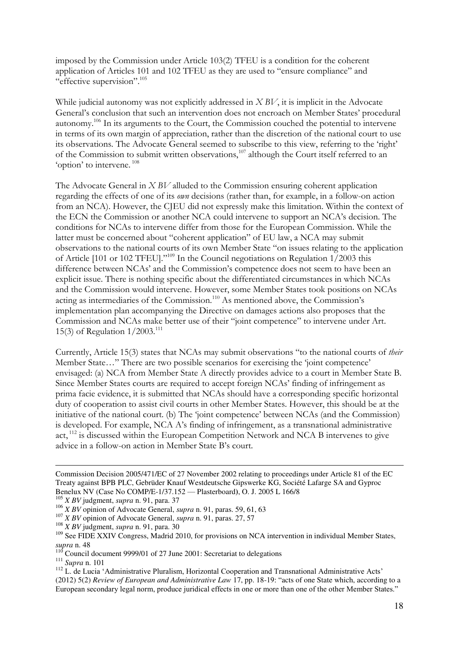imposed by the Commission under Article 103(2) TFEU is a condition for the coherent application of Articles 101 and 102 TFEU as they are used to "ensure compliance" and "effective supervision".<sup>105</sup>

While judicial autonomy was not explicitly addressed in *X BV*, it is implicit in the Advocate General's conclusion that such an intervention does not encroach on Member States' procedural autonomy.<sup>106</sup> In its arguments to the Court, the Commission couched the potential to intervene in terms of its own margin of appreciation, rather than the discretion of the national court to use its observations. The Advocate General seemed to subscribe to this view, referring to the 'right' of the Commission to submit written observations,<sup>107</sup> although the Court itself referred to an 'option' to intervene. <sup>108</sup>

The Advocate General in *X BV* alluded to the Commission ensuring coherent application regarding the effects of one of its *own* decisions (rather than, for example, in a follow-on action from an NCA). However, the CJEU did not expressly make this limitation. Within the context of the ECN the Commission or another NCA could intervene to support an NCA's decision. The conditions for NCAs to intervene differ from those for the European Commission. While the latter must be concerned about "coherent application" of EU law, a NCA may submit observations to the national courts of its own Member State "on issues relating to the application of Article [101 or 102 TFEU]."<sup>109</sup> In the Council negotiations on Regulation  $1/2003$  this difference between NCAs' and the Commission's competence does not seem to have been an explicit issue. There is nothing specific about the differentiated circumstances in which NCAs and the Commission would intervene. However, some Member States took positions on NCAs acting as intermediaries of the Commission.<sup>110</sup> As mentioned above, the Commission's implementation plan accompanying the Directive on damages actions also proposes that the Commission and NCAs make better use of their "joint competence" to intervene under Art. 15(3) of Regulation 1/2003.<sup>111</sup>

Currently, Article 15(3) states that NCAs may submit observations "to the national courts of *their*  Member State…" There are two possible scenarios for exercising the 'joint competence' envisaged: (a) NCA from Member State A directly provides advice to a court in Member State B. Since Member States courts are required to accept foreign NCAs' finding of infringement as prima facie evidence, it is submitted that NCAs should have a corresponding specific horizontal duty of cooperation to assist civil courts in other Member States. However, this should be at the initiative of the national court. (b) The 'joint competence' between NCAs (and the Commission) is developed. For example, NCA A's finding of infringement, as a transnational administrative act, <sup>112</sup> is discussed within the European Competition Network and NCA B intervenes to give advice in a follow-on action in Member State B's court.

<sup>107</sup> *X BV* opinion of Advocate General, *supra* n. 91, paras. 27, 57

 $110$  Council document 9999/01 of 27 June 2001: Secretariat to delegations

Commission Decision 2005/471/EC of 27 November 2002 relating to proceedings under Article 81 of the EC Treaty against BPB PLC, Gebrüder Knauf Westdeutsche Gipswerke KG, Société Lafarge SA and Gyproc Benelux NV (Case No COMP/E-1/37.152 — Plasterboard**)**, O. J. 2005 L 166/8

<sup>105</sup> *X BV* judgment, *supra* n. 91, para. 37

<sup>106</sup> *X BV* opinion of Advocate General, *supra* n. 91, paras. 59, 61, 63

<sup>108</sup> *X BV* judgment, *supra* n. 91, para. 30

<sup>&</sup>lt;sup>109</sup> See FIDE XXIV Congress, Madrid 2010, for provisions on NCA intervention in individual Member States, *supra* n. 48

<sup>111</sup> *Supra* n. 101

<sup>&</sup>lt;sup>112</sup> L. de Lucia 'Administrative Pluralism, Horizontal Cooperation and Transnational Administrative Acts' (2012) 5(2) *Review of European and Administrative Law* 17, pp. 18-19: "acts of one State which, according to a European secondary legal norm, produce juridical effects in one or more than one of the other Member States."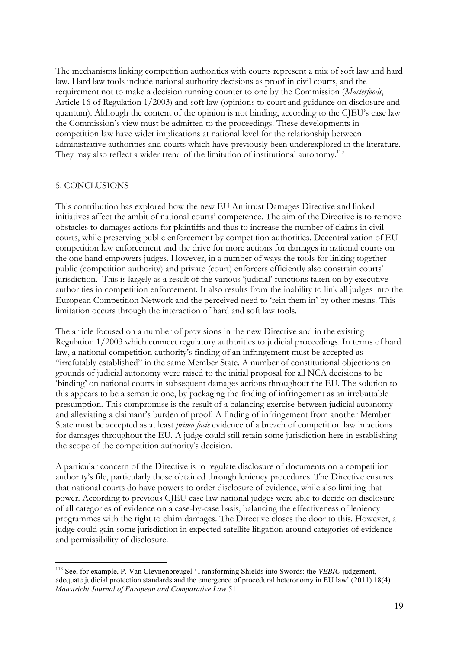The mechanisms linking competition authorities with courts represent a mix of soft law and hard law. Hard law tools include national authority decisions as proof in civil courts, and the requirement not to make a decision running counter to one by the Commission (*Masterfoods*, Article 16 of Regulation 1/2003) and soft law (opinions to court and guidance on disclosure and quantum). Although the content of the opinion is not binding, according to the CJEU's case law the Commission's view must be admitted to the proceedings. These developments in competition law have wider implications at national level for the relationship between administrative authorities and courts which have previously been underexplored in the literature. They may also reflect a wider trend of the limitation of institutional autonomy.<sup>113</sup>

### 5. CONCLUSIONS

 $\overline{a}$ 

This contribution has explored how the new EU Antitrust Damages Directive and linked initiatives affect the ambit of national courts' competence. The aim of the Directive is to remove obstacles to damages actions for plaintiffs and thus to increase the number of claims in civil courts, while preserving public enforcement by competition authorities. Decentralization of EU competition law enforcement and the drive for more actions for damages in national courts on the one hand empowers judges. However, in a number of ways the tools for linking together public (competition authority) and private (court) enforcers efficiently also constrain courts' jurisdiction. This is largely as a result of the various 'judicial' functions taken on by executive authorities in competition enforcement. It also results from the inability to link all judges into the European Competition Network and the perceived need to 'rein them in' by other means. This limitation occurs through the interaction of hard and soft law tools.

The article focused on a number of provisions in the new Directive and in the existing Regulation 1/2003 which connect regulatory authorities to judicial proceedings. In terms of hard law, a national competition authority's finding of an infringement must be accepted as "irrefutably established" in the same Member State. A number of constitutional objections on grounds of judicial autonomy were raised to the initial proposal for all NCA decisions to be 'binding' on national courts in subsequent damages actions throughout the EU. The solution to this appears to be a semantic one, by packaging the finding of infringement as an irrebuttable presumption. This compromise is the result of a balancing exercise between judicial autonomy and alleviating a claimant's burden of proof. A finding of infringement from another Member State must be accepted as at least *prima facie* evidence of a breach of competition law in actions for damages throughout the EU. A judge could still retain some jurisdiction here in establishing the scope of the competition authority's decision.

A particular concern of the Directive is to regulate disclosure of documents on a competition authority's file, particularly those obtained through leniency procedures. The Directive ensures that national courts do have powers to order disclosure of evidence, while also limiting that power. According to previous CJEU case law national judges were able to decide on disclosure of all categories of evidence on a case-by-case basis, balancing the effectiveness of leniency programmes with the right to claim damages. The Directive closes the door to this. However, a judge could gain some jurisdiction in expected satellite litigation around categories of evidence and permissibility of disclosure.

<sup>113</sup> See, for example, P. Van Cleynenbreugel 'Transforming Shields into Swords: the *VEBIC* judgement, adequate judicial protection standards and the emergence of procedural heteronomy in EU law' (2011) 18(4) *Maastricht Journal of European and Comparative Law* 511